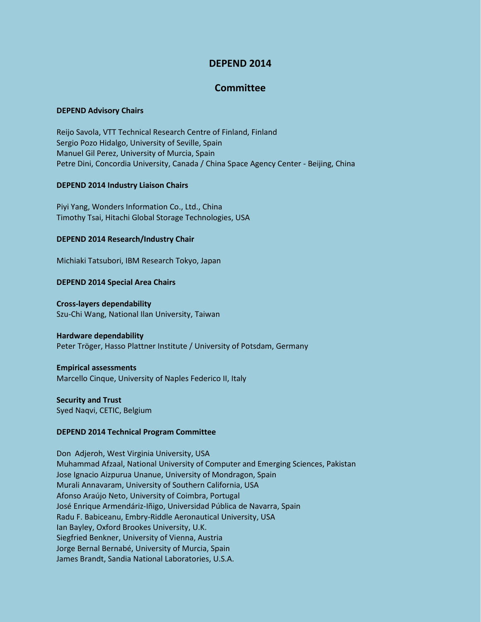# **DEPEND 2014**

# **Committee**

#### **DEPEND Advisory Chairs**

Reijo Savola, VTT Technical Research Centre of Finland, Finland Sergio Pozo Hidalgo, University of Seville, Spain Manuel Gil Perez, University of Murcia, Spain Petre Dini, Concordia University, Canada / China Space Agency Center - Beijing, China

## **DEPEND 2014 Industry Liaison Chairs**

Piyi Yang, Wonders Information Co., Ltd., China Timothy Tsai, Hitachi Global Storage Technologies, USA

## **DEPEND 2014 Research/Industry Chair**

Michiaki Tatsubori, IBM Research Tokyo, Japan

## **DEPEND 2014 Special Area Chairs**

#### **Cross-layers dependability**

Szu-Chi Wang, National Ilan University, Taiwan

#### **Hardware dependability**

Peter Tröger, Hasso Plattner Institute / University of Potsdam, Germany

# **Empirical assessments**

Marcello Cinque, University of Naples Federico II, Italy

# **Security and Trust**

Syed Naqvi, CETIC, Belgium

# **DEPEND 2014 Technical Program Committee**

Don Adjeroh, West Virginia University, USA Muhammad Afzaal, National University of Computer and Emerging Sciences, Pakistan Jose Ignacio Aizpurua Unanue, University of Mondragon, Spain Murali Annavaram, University of Southern California, USA Afonso Araújo Neto, University of Coimbra, Portugal José Enrique Armendáriz-Iñigo, Universidad Pública de Navarra, Spain Radu F. Babiceanu, Embry-Riddle Aeronautical University, USA Ian Bayley, Oxford Brookes University, U.K. Siegfried Benkner, University of Vienna, Austria Jorge Bernal Bernabé, University of Murcia, Spain James Brandt, Sandia National Laboratories, U.S.A.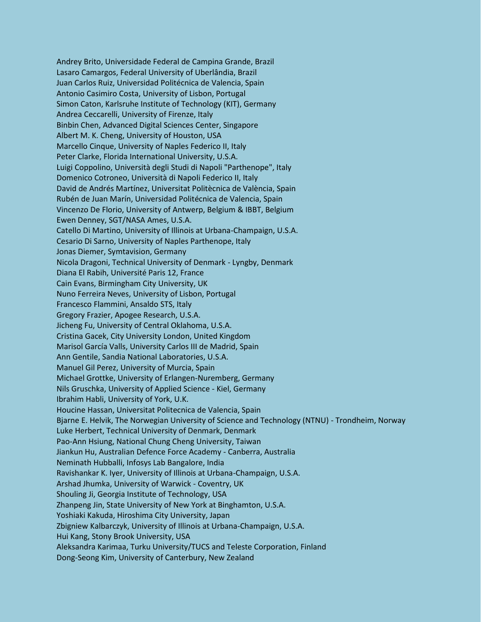Andrey Brito, Universidade Federal de Campina Grande, Brazil Lasaro Camargos, Federal University of Uberlândia, Brazil Juan Carlos Ruiz, Universidad Politécnica de Valencia, Spain Antonio Casimiro Costa, University of Lisbon, Portugal Simon Caton, Karlsruhe Institute of Technology (KIT), Germany Andrea Ceccarelli, University of Firenze, Italy Binbin Chen, Advanced Digital Sciences Center, Singapore Albert M. K. Cheng, University of Houston, USA Marcello Cinque, University of Naples Federico II, Italy Peter Clarke, Florida International University, U.S.A. Luigi Coppolino, Università degli Studi di Napoli "Parthenope", Italy Domenico Cotroneo, Università di Napoli Federico II, Italy David de Andrés Martínez, Universitat Politècnica de València, Spain Rubén de Juan Marín, Universidad Politécnica de Valencia, Spain Vincenzo De Florio, University of Antwerp, Belgium & IBBT, Belgium Ewen Denney, SGT/NASA Ames, U.S.A. Catello Di Martino, University of Illinois at Urbana-Champaign, U.S.A. Cesario Di Sarno, University of Naples Parthenope, Italy Jonas Diemer, Symtavision, Germany Nicola Dragoni, Technical University of Denmark - Lyngby, Denmark Diana El Rabih, Université Paris 12, France Cain Evans, Birmingham City University, UK Nuno Ferreira Neves, University of Lisbon, Portugal Francesco Flammini, Ansaldo STS, Italy Gregory Frazier, Apogee Research, U.S.A. Jicheng Fu, University of Central Oklahoma, U.S.A. Cristina Gacek, City University London, United Kingdom Marisol García Valls, University Carlos III de Madrid, Spain Ann Gentile, Sandia National Laboratories, U.S.A. Manuel Gil Perez, University of Murcia, Spain Michael Grottke, University of Erlangen-Nuremberg, Germany Nils Gruschka, University of Applied Science - Kiel, Germany Ibrahim Habli, University of York, U.K. Houcine Hassan, Universitat Politecnica de Valencia, Spain Bjarne E. Helvik, The Norwegian University of Science and Technology (NTNU) - Trondheim, Norway Luke Herbert, Technical University of Denmark, Denmark Pao-Ann Hsiung, National Chung Cheng University, Taiwan Jiankun Hu, Australian Defence Force Academy - Canberra, Australia Neminath Hubballi, Infosys Lab Bangalore, India Ravishankar K. Iyer, University of Illinois at Urbana-Champaign, U.S.A. Arshad Jhumka, University of Warwick - Coventry, UK Shouling Ji, Georgia Institute of Technology, USA Zhanpeng Jin, State University of New York at Binghamton, U.S.A. Yoshiaki Kakuda, Hiroshima City University, Japan Zbigniew Kalbarczyk, University of Illinois at Urbana-Champaign, U.S.A. Hui Kang, Stony Brook University, USA Aleksandra Karimaa, Turku University/TUCS and Teleste Corporation, Finland Dong-Seong Kim, University of Canterbury, New Zealand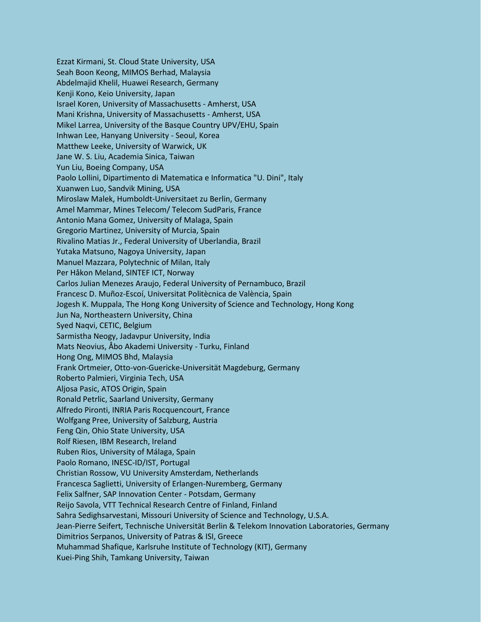Ezzat Kirmani, St. Cloud State University, USA Seah Boon Keong, MIMOS Berhad, Malaysia Abdelmajid Khelil, Huawei Research, Germany Kenji Kono, Keio University, Japan Israel Koren, University of Massachusetts - Amherst, USA Mani Krishna, University of Massachusetts - Amherst, USA Mikel Larrea, University of the Basque Country UPV/EHU, Spain Inhwan Lee, Hanyang University - Seoul, Korea Matthew Leeke, University of Warwick, UK Jane W. S. Liu, Academia Sinica, Taiwan Yun Liu, Boeing Company, USA Paolo Lollini, Dipartimento di Matematica e Informatica "U. Dini", Italy Xuanwen Luo, Sandvik Mining, USA Miroslaw Malek, Humboldt-Universitaet zu Berlin, Germany Amel Mammar, Mines Telecom/ Telecom SudParis, France Antonio Mana Gomez, University of Malaga, Spain Gregorio Martinez, University of Murcia, Spain Rivalino Matias Jr., Federal University of Uberlandia, Brazil Yutaka Matsuno, Nagoya University, Japan Manuel Mazzara, Polytechnic of Milan, Italy Per Håkon Meland, SINTEF ICT, Norway Carlos Julian Menezes Araujo, Federal University of Pernambuco, Brazil Francesc D. Muñoz-Escoí, Universitat Politècnica de València, Spain Jogesh K. Muppala, The Hong Kong University of Science and Technology, Hong Kong Jun Na, Northeastern University, China Syed Naqvi, CETIC, Belgium Sarmistha Neogy, Jadavpur University, India Mats Neovius, Åbo Akademi University - Turku, Finland Hong Ong, MIMOS Bhd, Malaysia Frank Ortmeier, Otto-von-Guericke-Universität Magdeburg, Germany Roberto Palmieri, Virginia Tech, USA Aljosa Pasic, ATOS Origin, Spain Ronald Petrlic, Saarland University, Germany Alfredo Pironti, INRIA Paris Rocquencourt, France Wolfgang Pree, University of Salzburg, Austria Feng Qin, Ohio State University, USA Rolf Riesen, IBM Research, Ireland Ruben Rios, University of Málaga, Spain Paolo Romano, INESC-ID/IST, Portugal Christian Rossow, VU University Amsterdam, Netherlands Francesca Saglietti, University of Erlangen-Nuremberg, Germany Felix Salfner, SAP Innovation Center - Potsdam, Germany Reijo Savola, VTT Technical Research Centre of Finland, Finland Sahra Sedighsarvestani, Missouri University of Science and Technology, U.S.A. Jean-Pierre Seifert, Technische Universität Berlin & Telekom Innovation Laboratories, Germany Dimitrios Serpanos, University of Patras & ISI, Greece Muhammad Shafique, Karlsruhe Institute of Technology (KIT), Germany Kuei-Ping Shih, Tamkang University, Taiwan